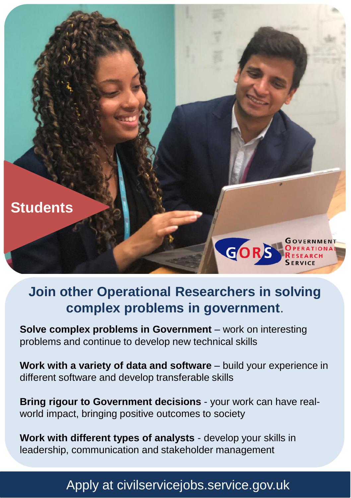

## **Join other Operational Researchers in solving complex problems in government**.

**Solve complex problems in Government** – work on interesting problems and continue to develop new technical skills

**Work with a variety of data and software** – build your experience in different software and develop transferable skills

**Bring rigour to Government decisions** - your work can have realworld impact, bringing positive outcomes to society

**Work with different types of analysts** - develop your skills in leadership, communication and stakeholder management

## Apply at civilservicejobs.service.gov.uk